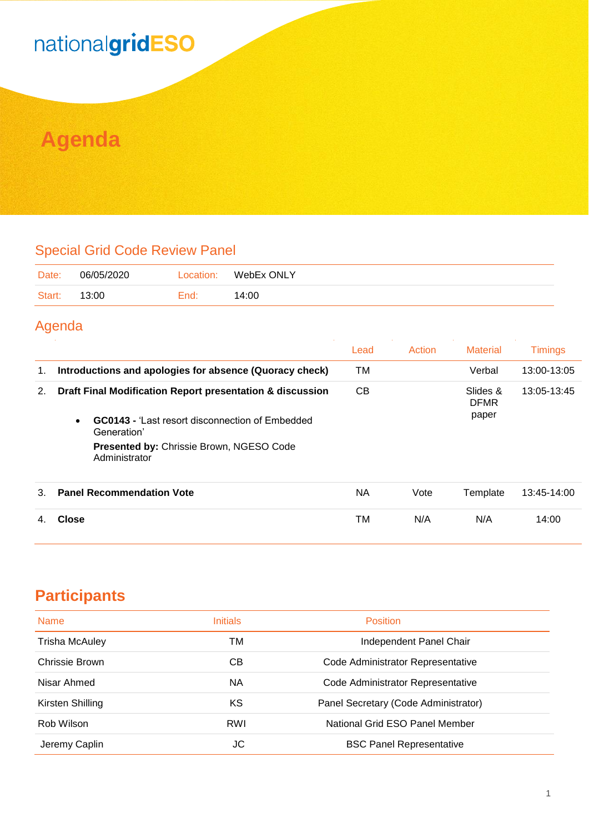## nationalgridESO

### **Agenda**

#### Special Grid Code Review Panel

| Date:  | 06/05/2020 | Location: | WebEx ONLY |
|--------|------------|-----------|------------|
| Start: | 13:00      | End:      | 14:00      |

#### Agenda

|    |                                                                      | Lead      | Action | <b>Material</b>         | <b>Timings</b> |
|----|----------------------------------------------------------------------|-----------|--------|-------------------------|----------------|
| 1. | Introductions and apologies for absence (Quoracy check)              | ТM        |        | Verbal                  | 13:00-13:05    |
| 2. | Draft Final Modification Report presentation & discussion            |           |        | Slides &<br><b>DFMR</b> | 13:05-13:45    |
|    | <b>GC0143 - Last resort disconnection of Embedded</b><br>Generation' |           |        | paper                   |                |
|    | <b>Presented by: Chrissie Brown, NGESO Code</b><br>Administrator     |           |        |                         |                |
| 3. | <b>Panel Recommendation Vote</b>                                     | <b>NA</b> | Vote   | Template                | 13:45-14:00    |
|    | <b>Close</b>                                                         | ТM        | N/A    | N/A                     | 14:00          |

#### **Participants**

| <b>Name</b>      | <b>Initials</b> | <b>Position</b>                      |
|------------------|-----------------|--------------------------------------|
| Trisha McAuley   | ТM              | Independent Panel Chair              |
| Chrissie Brown   | CВ              | Code Administrator Representative    |
| Nisar Ahmed      | <b>NA</b>       | Code Administrator Representative    |
| Kirsten Shilling | ΚS              | Panel Secretary (Code Administrator) |
| Rob Wilson       | RWI             | National Grid ESO Panel Member       |
| Jeremy Caplin    | JC              | <b>BSC Panel Representative</b>      |